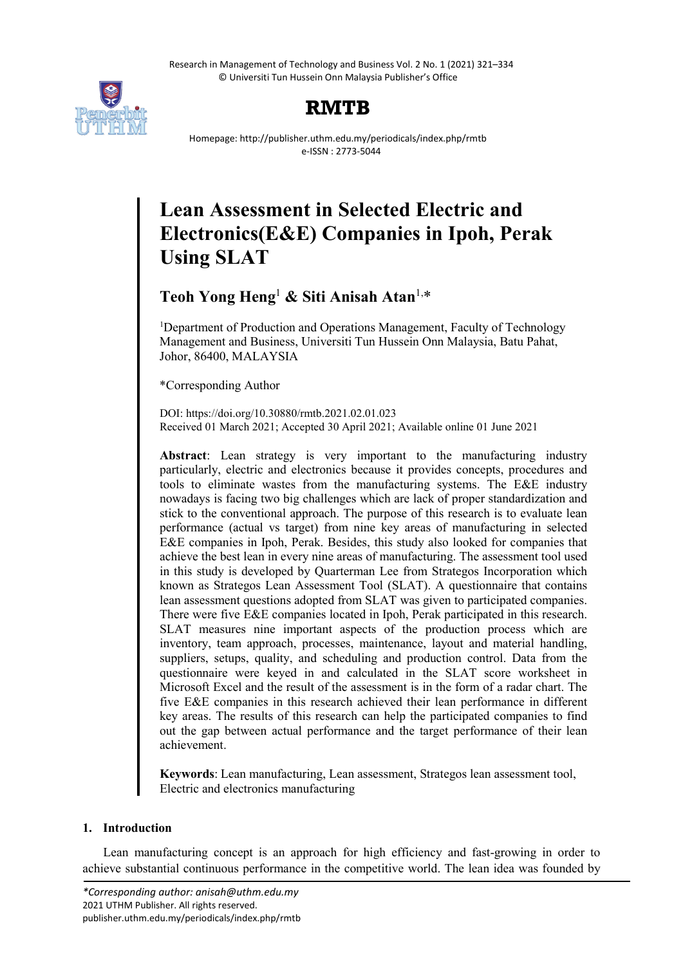Research in Management of Technology and Business Vol. 2 No. 1 (2021) 321–334 © Universiti Tun Hussein Onn Malaysia Publisher's Office



## **RMTB**

Homepage: http://publisher.uthm.edu.my/periodicals/index.php/rmtb e-ISSN : 2773-5044

# **Lean Assessment in Selected Electric and Electronics(E&E) Companies in Ipoh, Perak Using SLAT**

**Teoh Yong Heng**<sup>1</sup> **& Siti Anisah Atan**1,\*

<sup>1</sup>Department of Production and Operations Management, Faculty of Technology Management and Business, Universiti Tun Hussein Onn Malaysia, Batu Pahat, Johor, 86400, MALAYSIA

\*Corresponding Author

DOI: https://doi.org/10.30880/rmtb.2021.02.01.023 Received 01 March 2021; Accepted 30 April 2021; Available online 01 June 2021

**Abstract**: Lean strategy is very important to the manufacturing industry particularly, electric and electronics because it provides concepts, procedures and tools to eliminate wastes from the manufacturing systems. The E&E industry nowadays is facing two big challenges which are lack of proper standardization and stick to the conventional approach. The purpose of this research is to evaluate lean performance (actual vs target) from nine key areas of manufacturing in selected E&E companies in Ipoh, Perak. Besides, this study also looked for companies that achieve the best lean in every nine areas of manufacturing. The assessment tool used in this study is developed by Quarterman Lee from Strategos Incorporation which known as Strategos Lean Assessment Tool (SLAT). A questionnaire that contains lean assessment questions adopted from SLAT was given to participated companies. There were five E&E companies located in Ipoh, Perak participated in this research. SLAT measures nine important aspects of the production process which are inventory, team approach, processes, maintenance, layout and material handling, suppliers, setups, quality, and scheduling and production control. Data from the questionnaire were keyed in and calculated in the SLAT score worksheet in Microsoft Excel and the result of the assessment is in the form of a radar chart. The five E&E companies in this research achieved their lean performance in different key areas. The results of this research can help the participated companies to find out the gap between actual performance and the target performance of their lean achievement.

**Keywords**: Lean manufacturing, Lean assessment, Strategos lean assessment tool, Electric and electronics manufacturing

## **1. Introduction**

Lean manufacturing concept is an approach for high efficiency and fast-growing in order to achieve substantial continuous performance in the competitive world. The lean idea was founded by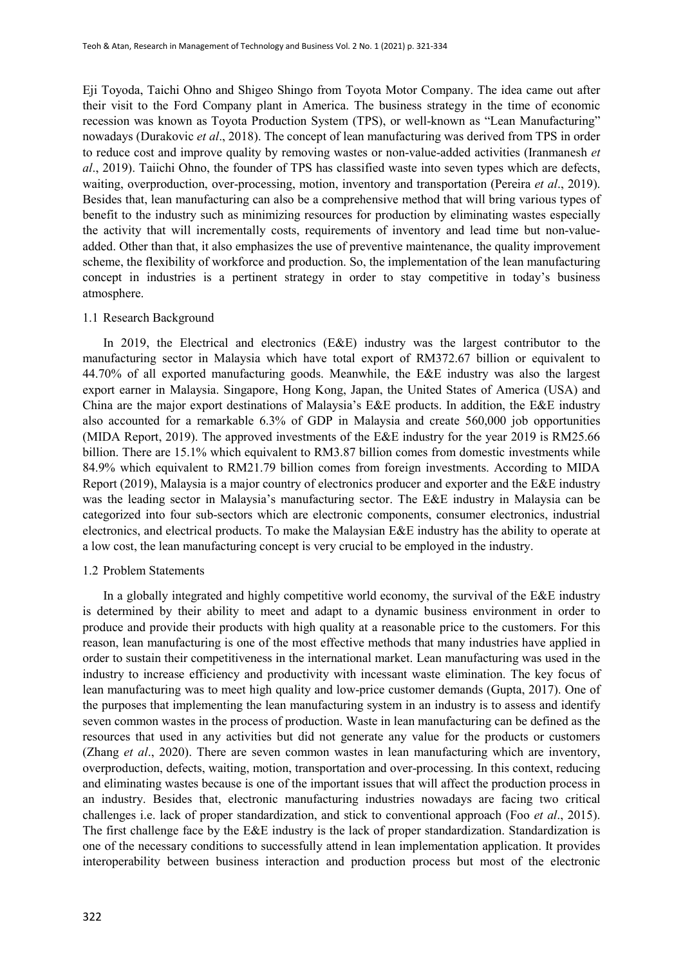Eji Toyoda, Taichi Ohno and Shigeo Shingo from Toyota Motor Company. The idea came out after their visit to the Ford Company plant in America. The business strategy in the time of economic recession was known as Toyota Production System (TPS), or well-known as "Lean Manufacturing" nowadays (Durakovic *et al*., 2018). The concept of lean manufacturing was derived from TPS in order to reduce cost and improve quality by removing wastes or non-value-added activities (Iranmanesh *et al*., 2019). Taiichi Ohno, the founder of TPS has classified waste into seven types which are defects, waiting, overproduction, over-processing, motion, inventory and transportation (Pereira *et al*., 2019). Besides that, lean manufacturing can also be a comprehensive method that will bring various types of benefit to the industry such as minimizing resources for production by eliminating wastes especially the activity that will incrementally costs, requirements of inventory and lead time but non-valueadded. Other than that, it also emphasizes the use of preventive maintenance, the quality improvement scheme, the flexibility of workforce and production. So, the implementation of the lean manufacturing concept in industries is a pertinent strategy in order to stay competitive in today's business atmosphere.

#### 1.1 Research Background

In 2019, the Electrical and electronics (E&E) industry was the largest contributor to the manufacturing sector in Malaysia which have total export of RM372.67 billion or equivalent to 44.70% of all exported manufacturing goods. Meanwhile, the E&E industry was also the largest export earner in Malaysia. Singapore, Hong Kong, Japan, the United States of America (USA) and China are the major export destinations of Malaysia's E&E products. In addition, the E&E industry also accounted for a remarkable 6.3% of GDP in Malaysia and create 560,000 job opportunities (MIDA Report, 2019). The approved investments of the E&E industry for the year 2019 is RM25.66 billion. There are 15.1% which equivalent to RM3.87 billion comes from domestic investments while 84.9% which equivalent to RM21.79 billion comes from foreign investments. According to MIDA Report (2019), Malaysia is a major country of electronics producer and exporter and the E&E industry was the leading sector in Malaysia's manufacturing sector. The E&E industry in Malaysia can be categorized into four sub-sectors which are electronic components, consumer electronics, industrial electronics, and electrical products. To make the Malaysian E&E industry has the ability to operate at a low cost, the lean manufacturing concept is very crucial to be employed in the industry.

## 1.2 Problem Statements

In a globally integrated and highly competitive world economy, the survival of the E&E industry is determined by their ability to meet and adapt to a dynamic business environment in order to produce and provide their products with high quality at a reasonable price to the customers. For this reason, lean manufacturing is one of the most effective methods that many industries have applied in order to sustain their competitiveness in the international market. Lean manufacturing was used in the industry to increase efficiency and productivity with incessant waste elimination. The key focus of lean manufacturing was to meet high quality and low-price customer demands (Gupta, 2017). One of the purposes that implementing the lean manufacturing system in an industry is to assess and identify seven common wastes in the process of production. Waste in lean manufacturing can be defined as the resources that used in any activities but did not generate any value for the products or customers (Zhang *et al*., 2020). There are seven common wastes in lean manufacturing which are inventory, overproduction, defects, waiting, motion, transportation and over-processing. In this context, reducing and eliminating wastes because is one of the important issues that will affect the production process in an industry. Besides that, electronic manufacturing industries nowadays are facing two critical challenges i.e. lack of proper standardization, and stick to conventional approach (Foo *et al*., 2015). The first challenge face by the E&E industry is the lack of proper standardization. Standardization is one of the necessary conditions to successfully attend in lean implementation application. It provides interoperability between business interaction and production process but most of the electronic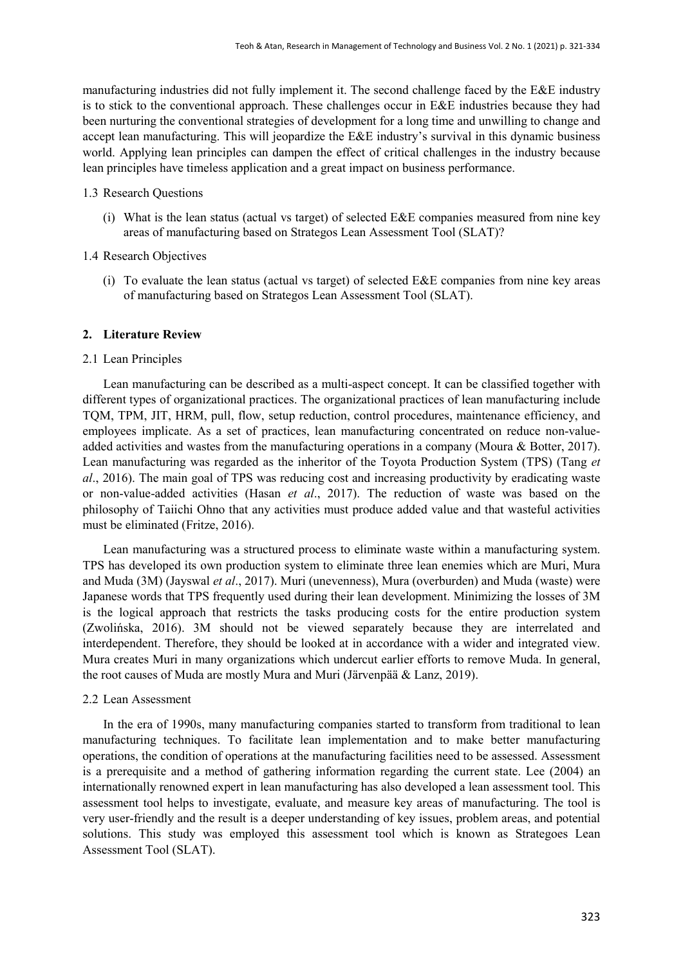manufacturing industries did not fully implement it. The second challenge faced by the E&E industry is to stick to the conventional approach. These challenges occur in E&E industries because they had been nurturing the conventional strategies of development for a long time and unwilling to change and accept lean manufacturing. This will jeopardize the E&E industry's survival in this dynamic business world. Applying lean principles can dampen the effect of critical challenges in the industry because lean principles have timeless application and a great impact on business performance.

#### 1.3 Research Questions

- (i) What is the lean status (actual vs target) of selected E&E companies measured from nine key areas of manufacturing based on Strategos Lean Assessment Tool (SLAT)?
- 1.4 Research Objectives
	- (i) To evaluate the lean status (actual vs target) of selected E&E companies from nine key areas of manufacturing based on Strategos Lean Assessment Tool (SLAT).

#### **2. Literature Review**

#### 2.1 Lean Principles

Lean manufacturing can be described as a multi-aspect concept. It can be classified together with different types of organizational practices. The organizational practices of lean manufacturing include TQM, TPM, JIT, HRM, pull, flow, setup reduction, control procedures, maintenance efficiency, and employees implicate. As a set of practices, lean manufacturing concentrated on reduce non-valueadded activities and wastes from the manufacturing operations in a company (Moura & Botter, 2017). Lean manufacturing was regarded as the inheritor of the Toyota Production System (TPS) (Tang *et al*., 2016). The main goal of TPS was reducing cost and increasing productivity by eradicating waste or non-value-added activities (Hasan *et al*., 2017). The reduction of waste was based on the philosophy of Taiichi Ohno that any activities must produce added value and that wasteful activities must be eliminated (Fritze, 2016).

Lean manufacturing was a structured process to eliminate waste within a manufacturing system. TPS has developed its own production system to eliminate three lean enemies which are Muri, Mura and Muda (3M) (Jayswal *et al*., 2017). Muri (unevenness), Mura (overburden) and Muda (waste) were Japanese words that TPS frequently used during their lean development. Minimizing the losses of 3M is the logical approach that restricts the tasks producing costs for the entire production system (Zwolińska, 2016). 3M should not be viewed separately because they are interrelated and interdependent. Therefore, they should be looked at in accordance with a wider and integrated view. Mura creates Muri in many organizations which undercut earlier efforts to remove Muda. In general, the root causes of Muda are mostly Mura and Muri (Järvenpää & Lanz, 2019).

#### 2.2 Lean Assessment

In the era of 1990s, many manufacturing companies started to transform from traditional to lean manufacturing techniques. To facilitate lean implementation and to make better manufacturing operations, the condition of operations at the manufacturing facilities need to be assessed. Assessment is a prerequisite and a method of gathering information regarding the current state. Lee (2004) an internationally renowned expert in lean manufacturing has also developed a lean assessment tool. This assessment tool helps to investigate, evaluate, and measure key areas of manufacturing. The tool is very user-friendly and the result is a deeper understanding of key issues, problem areas, and potential solutions. This study was employed this assessment tool which is known as Strategoes Lean Assessment Tool (SLAT).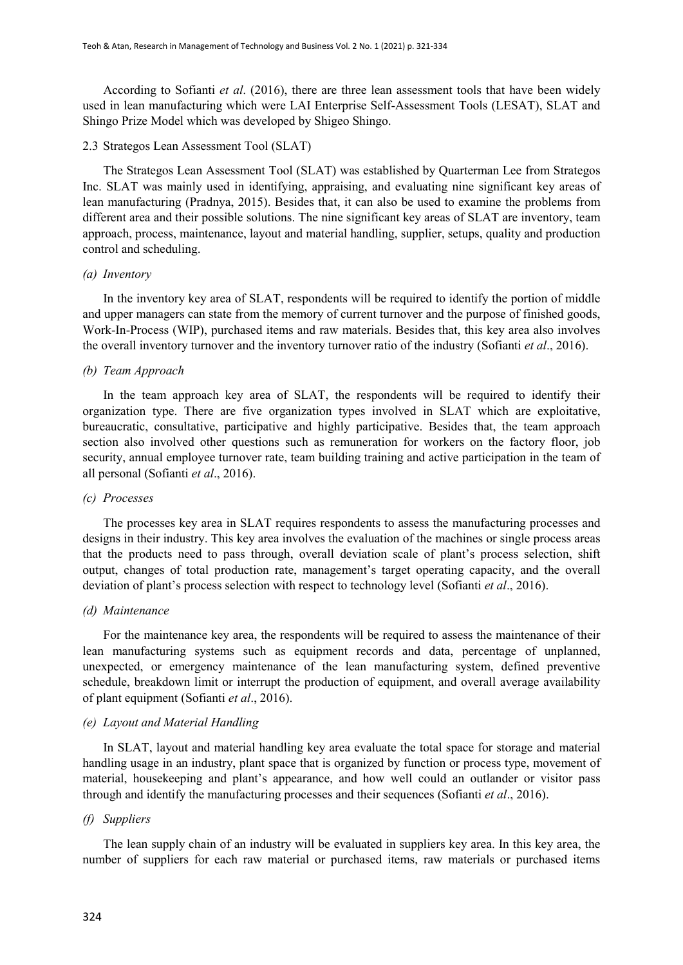According to Sofianti *et al*. (2016), there are three lean assessment tools that have been widely used in lean manufacturing which were LAI Enterprise Self-Assessment Tools (LESAT), SLAT and Shingo Prize Model which was developed by Shigeo Shingo.

#### 2.3 Strategos Lean Assessment Tool (SLAT)

The Strategos Lean Assessment Tool (SLAT) was established by Quarterman Lee from Strategos Inc. SLAT was mainly used in identifying, appraising, and evaluating nine significant key areas of lean manufacturing (Pradnya, 2015). Besides that, it can also be used to examine the problems from different area and their possible solutions. The nine significant key areas of SLAT are inventory, team approach, process, maintenance, layout and material handling, supplier, setups, quality and production control and scheduling.

## *(a) Inventory*

In the inventory key area of SLAT, respondents will be required to identify the portion of middle and upper managers can state from the memory of current turnover and the purpose of finished goods, Work-In-Process (WIP), purchased items and raw materials. Besides that, this key area also involves the overall inventory turnover and the inventory turnover ratio of the industry (Sofianti *et al*., 2016).

## *(b) Team Approach*

In the team approach key area of SLAT, the respondents will be required to identify their organization type. There are five organization types involved in SLAT which are exploitative, bureaucratic, consultative, participative and highly participative. Besides that, the team approach section also involved other questions such as remuneration for workers on the factory floor, job security, annual employee turnover rate, team building training and active participation in the team of all personal (Sofianti *et al*., 2016).

#### *(c) Processes*

The processes key area in SLAT requires respondents to assess the manufacturing processes and designs in their industry. This key area involves the evaluation of the machines or single process areas that the products need to pass through, overall deviation scale of plant's process selection, shift output, changes of total production rate, management's target operating capacity, and the overall deviation of plant's process selection with respect to technology level (Sofianti *et al*., 2016).

#### *(d) Maintenance*

For the maintenance key area, the respondents will be required to assess the maintenance of their lean manufacturing systems such as equipment records and data, percentage of unplanned, unexpected, or emergency maintenance of the lean manufacturing system, defined preventive schedule, breakdown limit or interrupt the production of equipment, and overall average availability of plant equipment (Sofianti *et al*., 2016).

#### *(e) Layout and Material Handling*

In SLAT, layout and material handling key area evaluate the total space for storage and material handling usage in an industry, plant space that is organized by function or process type, movement of material, housekeeping and plant's appearance, and how well could an outlander or visitor pass through and identify the manufacturing processes and their sequences (Sofianti *et al*., 2016).

#### *(f) Suppliers*

The lean supply chain of an industry will be evaluated in suppliers key area. In this key area, the number of suppliers for each raw material or purchased items, raw materials or purchased items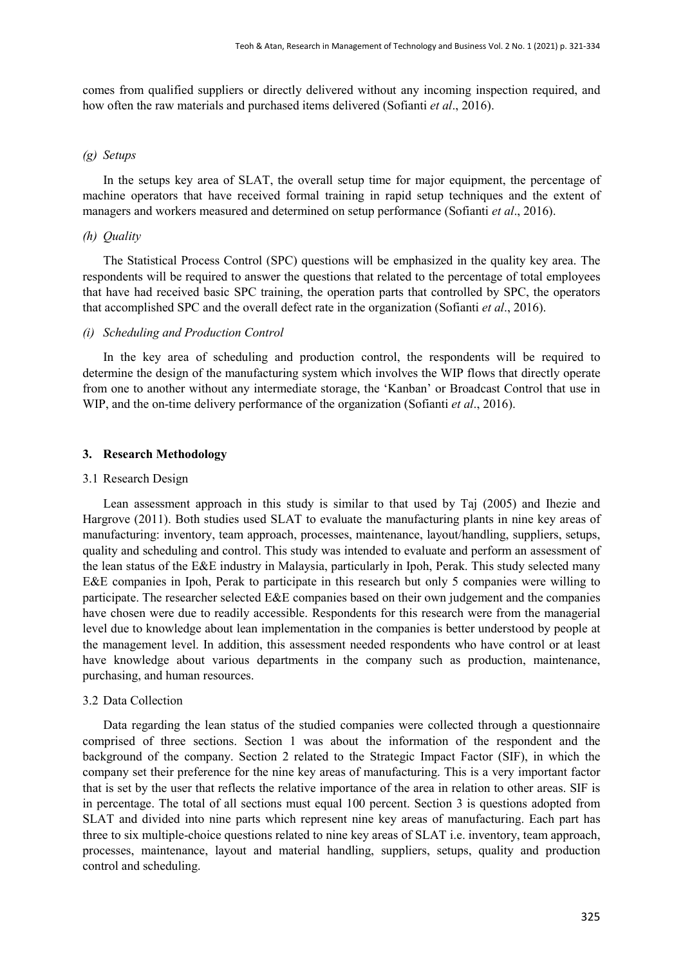comes from qualified suppliers or directly delivered without any incoming inspection required, and how often the raw materials and purchased items delivered (Sofianti *et al*., 2016).

#### *(g) Setups*

In the setups key area of SLAT, the overall setup time for major equipment, the percentage of machine operators that have received formal training in rapid setup techniques and the extent of managers and workers measured and determined on setup performance (Sofianti *et al*., 2016).

## *(h) Quality*

The Statistical Process Control (SPC) questions will be emphasized in the quality key area. The respondents will be required to answer the questions that related to the percentage of total employees that have had received basic SPC training, the operation parts that controlled by SPC, the operators that accomplished SPC and the overall defect rate in the organization (Sofianti *et al*., 2016).

#### *(i) Scheduling and Production Control*

In the key area of scheduling and production control, the respondents will be required to determine the design of the manufacturing system which involves the WIP flows that directly operate from one to another without any intermediate storage, the 'Kanban' or Broadcast Control that use in WIP, and the on-time delivery performance of the organization (Sofianti *et al*., 2016).

#### **3. Research Methodology**

#### 3.1 Research Design

Lean assessment approach in this study is similar to that used by Taj (2005) and Ihezie and Hargrove (2011). Both studies used SLAT to evaluate the manufacturing plants in nine key areas of manufacturing: inventory, team approach, processes, maintenance, layout/handling, suppliers, setups, quality and scheduling and control. This study was intended to evaluate and perform an assessment of the lean status of the E&E industry in Malaysia, particularly in Ipoh, Perak. This study selected many E&E companies in Ipoh, Perak to participate in this research but only 5 companies were willing to participate. The researcher selected E&E companies based on their own judgement and the companies have chosen were due to readily accessible. Respondents for this research were from the managerial level due to knowledge about lean implementation in the companies is better understood by people at the management level. In addition, this assessment needed respondents who have control or at least have knowledge about various departments in the company such as production, maintenance, purchasing, and human resources.

#### 3.2 Data Collection

Data regarding the lean status of the studied companies were collected through a questionnaire comprised of three sections. Section 1 was about the information of the respondent and the background of the company. Section 2 related to the Strategic Impact Factor (SIF), in which the company set their preference for the nine key areas of manufacturing. This is a very important factor that is set by the user that reflects the relative importance of the area in relation to other areas. SIF is in percentage. The total of all sections must equal 100 percent. Section 3 is questions adopted from SLAT and divided into nine parts which represent nine key areas of manufacturing. Each part has three to six multiple-choice questions related to nine key areas of SLAT i.e. inventory, team approach, processes, maintenance, layout and material handling, suppliers, setups, quality and production control and scheduling.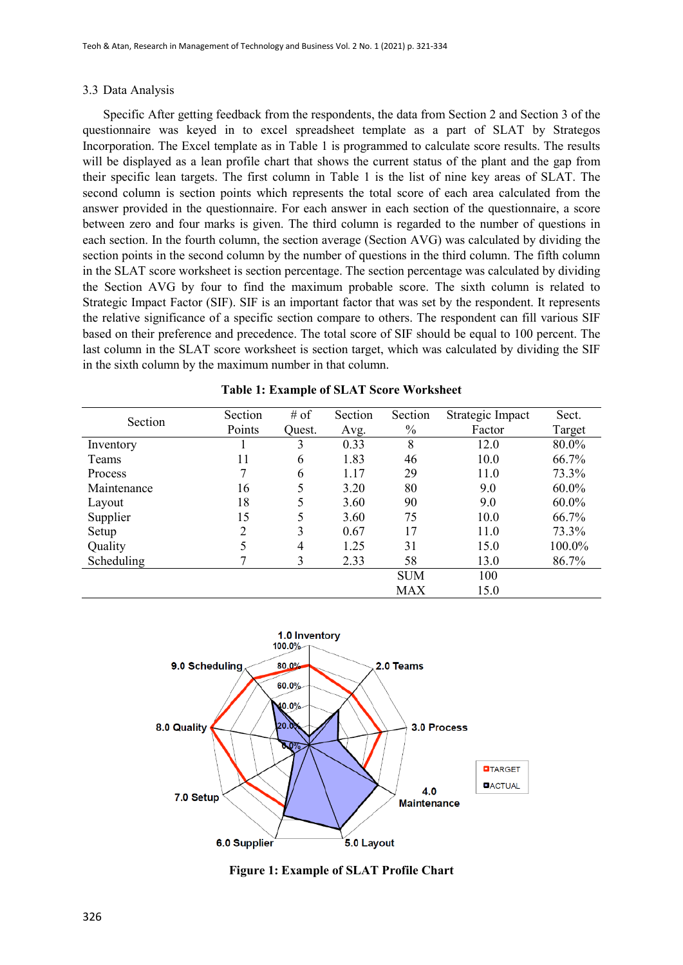#### 3.3 Data Analysis

Specific After getting feedback from the respondents, the data from Section 2 and Section 3 of the questionnaire was keyed in to excel spreadsheet template as a part of SLAT by Strategos Incorporation. The Excel template as in Table 1 is programmed to calculate score results. The results will be displayed as a lean profile chart that shows the current status of the plant and the gap from their specific lean targets. The first column in Table 1 is the list of nine key areas of SLAT. The second column is section points which represents the total score of each area calculated from the answer provided in the questionnaire. For each answer in each section of the questionnaire, a score between zero and four marks is given. The third column is regarded to the number of questions in each section. In the fourth column, the section average (Section AVG) was calculated by dividing the section points in the second column by the number of questions in the third column. The fifth column in the SLAT score worksheet is section percentage. The section percentage was calculated by dividing the Section AVG by four to find the maximum probable score. The sixth column is related to Strategic Impact Factor (SIF). SIF is an important factor that was set by the respondent. It represents the relative significance of a specific section compare to others. The respondent can fill various SIF based on their preference and precedence. The total score of SIF should be equal to 100 percent. The last column in the SLAT score worksheet is section target, which was calculated by dividing the SIF in the sixth column by the maximum number in that column.

| Section        | Section | $#$ of         | Section | Section    | Strategic Impact | Sect.    |
|----------------|---------|----------------|---------|------------|------------------|----------|
|                | Points  | Ouest.         | Avg.    | $\%$       | Factor           | Target   |
| Inventory      |         | 3              | 0.33    | 8          | 12.0             | 80.0%    |
| Teams          | 11      | 6              | 1.83    | 46         | 10.0             | 66.7%    |
| <b>Process</b> | 7       | 6              | 1.17    | 29         | 11.0             | 73.3%    |
| Maintenance    | 16      | 5              | 3.20    | 80         | 9.0              | $60.0\%$ |
| Layout         | 18      | 5              | 3.60    | 90         | 9.0              | 60.0%    |
| Supplier       | 15      | 5              | 3.60    | 75         | 10.0             | 66.7%    |
| Setup          | 2       | 3              | 0.67    | 17         | 11.0             | 73.3%    |
| Quality        |         | $\overline{4}$ | 1.25    | 31         | 15.0             | 100.0%   |
| Scheduling     |         | 3              | 2.33    | 58         | 13.0             | 86.7%    |
|                |         |                |         | <b>SUM</b> | 100              |          |
|                |         |                |         | MAX        | 15.0             |          |

**Table 1: Example of SLAT Score Worksheet**



**Figure 1: Example of SLAT Profile Chart**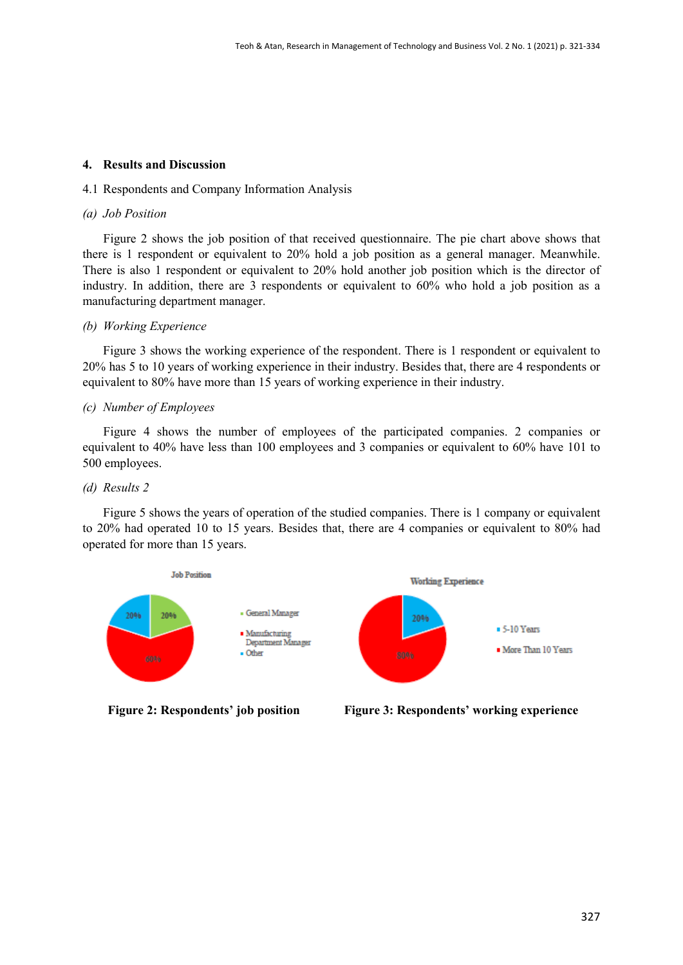## **4. Results and Discussion**

#### 4.1 Respondents and Company Information Analysis

#### *(a) Job Position*

Figure 2 shows the job position of that received questionnaire. The pie chart above shows that there is 1 respondent or equivalent to 20% hold a job position as a general manager. Meanwhile. There is also 1 respondent or equivalent to 20% hold another job position which is the director of industry. In addition, there are 3 respondents or equivalent to 60% who hold a job position as a manufacturing department manager.

## *(b) Working Experience*

Figure 3 shows the working experience of the respondent. There is 1 respondent or equivalent to 20% has 5 to 10 years of working experience in their industry. Besides that, there are 4 respondents or equivalent to 80% have more than 15 years of working experience in their industry.

## *(c) Number of Employees*

Figure 4 shows the number of employees of the participated companies. 2 companies or equivalent to 40% have less than 100 employees and 3 companies or equivalent to 60% have 101 to 500 employees.

## *(d) Results 2*

Figure 5 shows the years of operation of the studied companies. There is 1 company or equivalent to 20% had operated 10 to 15 years. Besides that, there are 4 companies or equivalent to 80% had operated for more than 15 years.



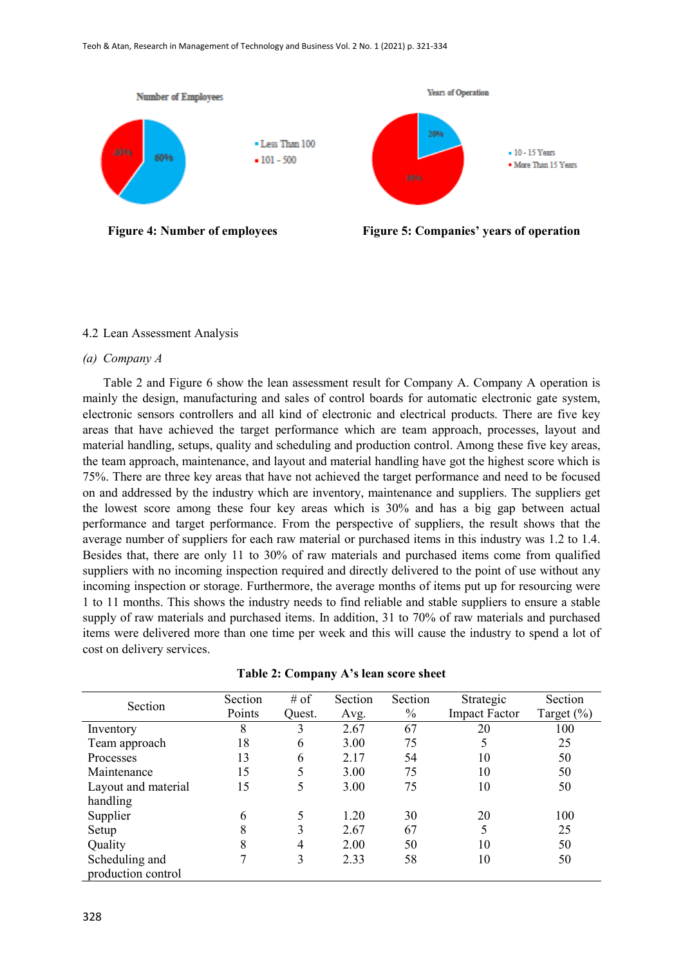

#### 4.2 Lean Assessment Analysis

#### *(a) Company A*

Table 2 and Figure 6 show the lean assessment result for Company A. Company A operation is mainly the design, manufacturing and sales of control boards for automatic electronic gate system, electronic sensors controllers and all kind of electronic and electrical products. There are five key areas that have achieved the target performance which are team approach, processes, layout and material handling, setups, quality and scheduling and production control. Among these five key areas, the team approach, maintenance, and layout and material handling have got the highest score which is 75%. There are three key areas that have not achieved the target performance and need to be focused on and addressed by the industry which are inventory, maintenance and suppliers. The suppliers get the lowest score among these four key areas which is 30% and has a big gap between actual performance and target performance. From the perspective of suppliers, the result shows that the average number of suppliers for each raw material or purchased items in this industry was 1.2 to 1.4. Besides that, there are only 11 to 30% of raw materials and purchased items come from qualified suppliers with no incoming inspection required and directly delivered to the point of use without any incoming inspection or storage. Furthermore, the average months of items put up for resourcing were 1 to 11 months. This shows the industry needs to find reliable and stable suppliers to ensure a stable supply of raw materials and purchased items. In addition, 31 to 70% of raw materials and purchased items were delivered more than one time per week and this will cause the industry to spend a lot of cost on delivery services.

| Section             | Section | # of   | Section | Section | Strategic            | Section    |
|---------------------|---------|--------|---------|---------|----------------------|------------|
|                     | Points  | Ouest. | Avg.    | $\%$    | <b>Impact Factor</b> | Target (%) |
| Inventory           | 8       | 3      | 2.67    | 67      | 20                   | 100        |
| Team approach       | 18      | 6      | 3.00    | 75      | 5                    | 25         |
| Processes           | 13      | 6      | 2.17    | 54      | 10                   | 50         |
| Maintenance         | 15      | 5      | 3.00    | 75      | 10                   | 50         |
| Layout and material | 15      | 5      | 3.00    | 75      | 10                   | 50         |
| handling            |         |        |         |         |                      |            |
| Supplier            | 6       |        | 1.20    | 30      | 20                   | 100        |
| Setup               | 8       | 3      | 2.67    | 67      | 5                    | 25         |
| Quality             |         | 4      | 2.00    | 50      | 10                   | 50         |
| Scheduling and      |         | 3      | 2.33    | 58      | 10                   | 50         |
| production control  |         |        |         |         |                      |            |

| Table 2: Company A's lean score sheet |  |  |
|---------------------------------------|--|--|
|---------------------------------------|--|--|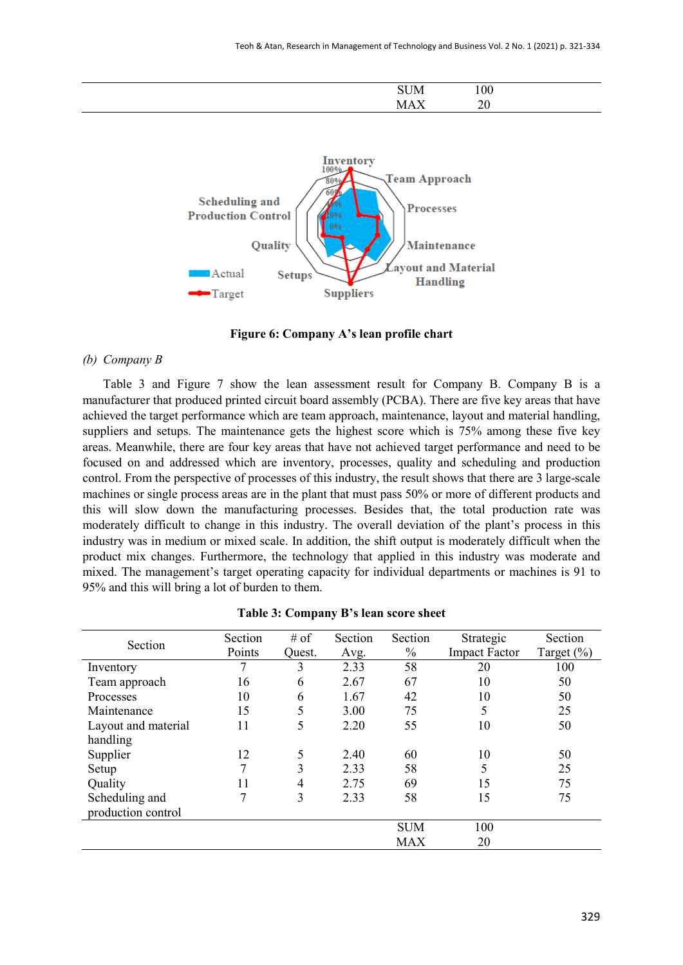| ----<br>JМ | 100    |  |
|------------|--------|--|
| $ -$       | $\sim$ |  |





#### *(b) Company B*

Table 3 and Figure 7 show the lean assessment result for Company B. Company B is a manufacturer that produced printed circuit board assembly (PCBA). There are five key areas that have achieved the target performance which are team approach, maintenance, layout and material handling, suppliers and setups. The maintenance gets the highest score which is 75% among these five key areas. Meanwhile, there are four key areas that have not achieved target performance and need to be focused on and addressed which are inventory, processes, quality and scheduling and production control. From the perspective of processes of this industry, the result shows that there are 3 large-scale machines or single process areas are in the plant that must pass 50% or more of different products and this will slow down the manufacturing processes. Besides that, the total production rate was moderately difficult to change in this industry. The overall deviation of the plant's process in this industry was in medium or mixed scale. In addition, the shift output is moderately difficult when the product mix changes. Furthermore, the technology that applied in this industry was moderate and mixed. The management's target operating capacity for individual departments or machines is 91 to 95% and this will bring a lot of burden to them.

| Section             | Section | # of   | Section | Section       | Strategic            | Section       |
|---------------------|---------|--------|---------|---------------|----------------------|---------------|
|                     | Points  | Quest. | Avg.    | $\frac{0}{0}$ | <b>Impact Factor</b> | Target $(\%)$ |
| Inventory           | 7       | 3      | 2.33    | 58            | 20                   | 100           |
| Team approach       | 16      | 6      | 2.67    | 67            | 10                   | 50            |
| Processes           | 10      | 6      | 1.67    | 42            | 10                   | 50            |
| Maintenance         | 15      | 5      | 3.00    | 75            | 5                    | 25            |
| Layout and material | 11      | 5      | 2.20    | 55            | 10                   | 50            |
| handling            |         |        |         |               |                      |               |
| Supplier            | 12      | 5      | 2.40    | 60            | 10                   | 50            |
| Setup               | 7       | 3      | 2.33    | 58            | 5                    | 25            |
| Quality             | 11      | 4      | 2.75    | 69            | 15                   | 75            |
| Scheduling and      | 7       | 3      | 2.33    | 58            | 15                   | 75            |
| production control  |         |        |         |               |                      |               |
|                     |         |        |         | <b>SUM</b>    | 100                  |               |
|                     |         |        |         | <b>MAX</b>    | 20                   |               |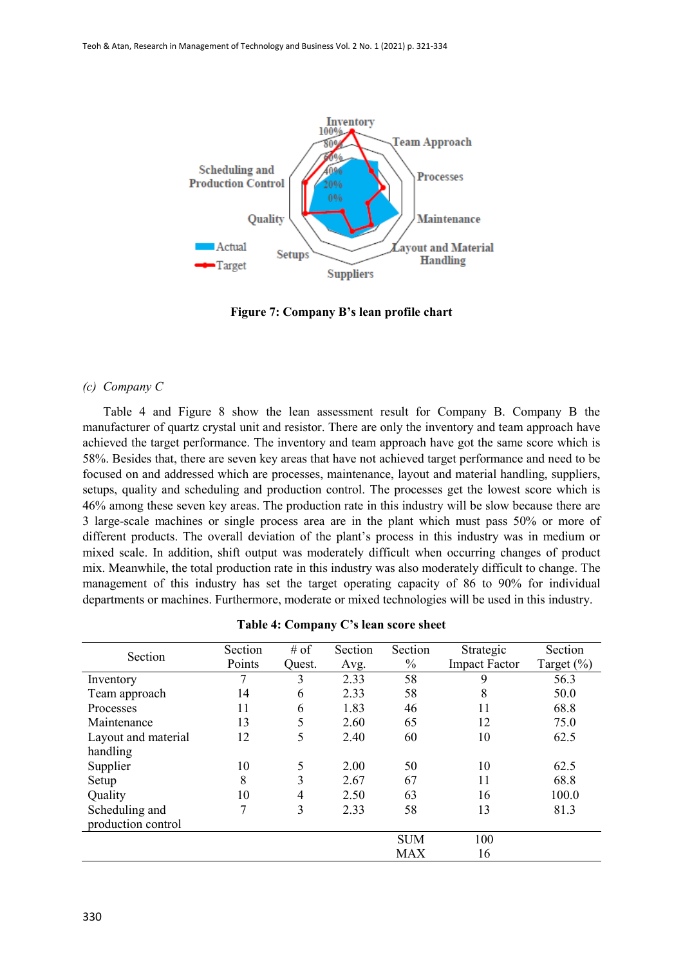

**Figure 7: Company B's lean profile chart**

#### *(c) Company C*

Table 4 and Figure 8 show the lean assessment result for Company B. Company B the manufacturer of quartz crystal unit and resistor. There are only the inventory and team approach have achieved the target performance. The inventory and team approach have got the same score which is 58%. Besides that, there are seven key areas that have not achieved target performance and need to be focused on and addressed which are processes, maintenance, layout and material handling, suppliers, setups, quality and scheduling and production control. The processes get the lowest score which is 46% among these seven key areas. The production rate in this industry will be slow because there are 3 large-scale machines or single process area are in the plant which must pass 50% or more of different products. The overall deviation of the plant's process in this industry was in medium or mixed scale. In addition, shift output was moderately difficult when occurring changes of product mix. Meanwhile, the total production rate in this industry was also moderately difficult to change. The management of this industry has set the target operating capacity of 86 to 90% for individual departments or machines. Furthermore, moderate or mixed technologies will be used in this industry.

| Section             | Section | # of   | Section | Section       | Strategic            | Section       |
|---------------------|---------|--------|---------|---------------|----------------------|---------------|
|                     | Points  | Ouest. | Avg.    | $\frac{0}{0}$ | <b>Impact Factor</b> | Target $(\%)$ |
| Inventory           |         | 3      | 2.33    | 58            | 9                    | 56.3          |
| Team approach       | 14      | 6      | 2.33    | 58            | 8                    | 50.0          |
| Processes           | 11      | 6      | 1.83    | 46            | 11                   | 68.8          |
| Maintenance         | 13      | 5      | 2.60    | 65            | 12                   | 75.0          |
| Layout and material | 12      | 5      | 2.40    | 60            | 10                   | 62.5          |
| handling            |         |        |         |               |                      |               |
| Supplier            | 10      | 5      | 2.00    | 50            | 10                   | 62.5          |
| Setup               | 8       | 3      | 2.67    | 67            | 11                   | 68.8          |
| Quality             | 10      | 4      | 2.50    | 63            | 16                   | 100.0         |
| Scheduling and      | 7       | 3      | 2.33    | 58            | 13                   | 81.3          |
| production control  |         |        |         |               |                      |               |
|                     |         |        |         | <b>SUM</b>    | 100                  |               |
|                     |         |        |         | <b>MAX</b>    | 16                   |               |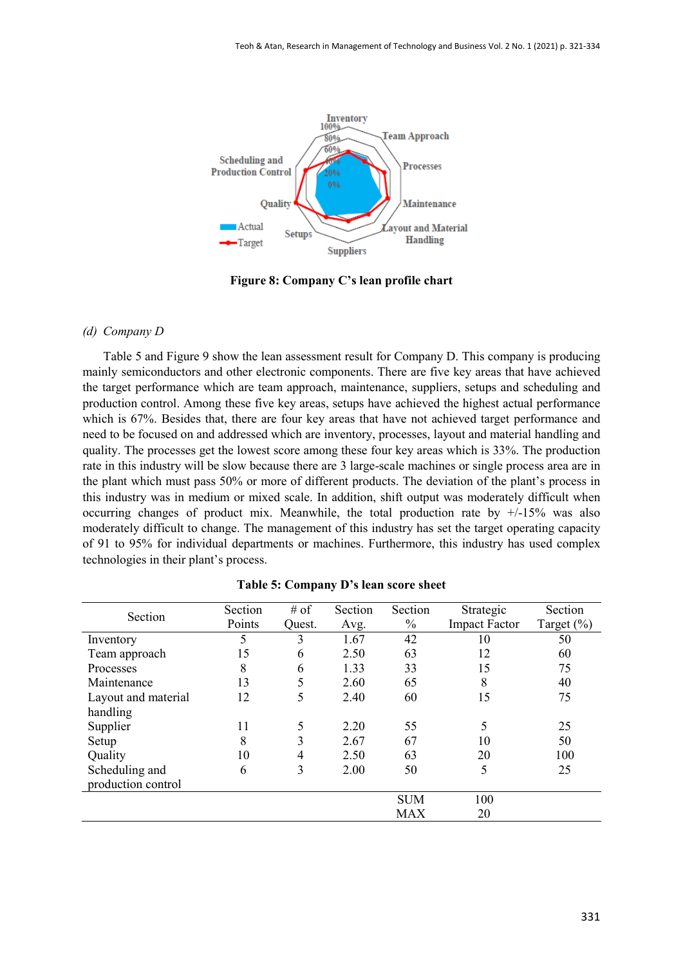

**Figure 8: Company C's lean profile chart**

## *(d) Company D*

Table 5 and Figure 9 show the lean assessment result for Company D. This company is producing mainly semiconductors and other electronic components. There are five key areas that have achieved the target performance which are team approach, maintenance, suppliers, setups and scheduling and production control. Among these five key areas, setups have achieved the highest actual performance which is 67%. Besides that, there are four key areas that have not achieved target performance and need to be focused on and addressed which are inventory, processes, layout and material handling and quality. The processes get the lowest score among these four key areas which is 33%. The production rate in this industry will be slow because there are 3 large-scale machines or single process area are in the plant which must pass 50% or more of different products. The deviation of the plant's process in this industry was in medium or mixed scale. In addition, shift output was moderately difficult when occurring changes of product mix. Meanwhile, the total production rate by  $+/15\%$  was also moderately difficult to change. The management of this industry has set the target operating capacity of 91 to 95% for individual departments or machines. Furthermore, this industry has used complex technologies in their plant's process.

| Section             | Section | # of   | Section | Section       | Strategic            | Section    |
|---------------------|---------|--------|---------|---------------|----------------------|------------|
|                     | Points  | Quest. | Avg.    | $\frac{0}{0}$ | <b>Impact Factor</b> | Target (%) |
| Inventory           |         | 3      | 1.67    | 42            | 10                   | 50         |
| Team approach       | 15      | 6      | 2.50    | 63            | 12                   | 60         |
| Processes           | 8       | 6      | 1.33    | 33            | 15                   | 75         |
| Maintenance         | 13      | 5      | 2.60    | 65            | 8                    | 40         |
| Layout and material | 12      | 5      | 2.40    | 60            | 15                   | 75         |
| handling            |         |        |         |               |                      |            |
| Supplier            | 11      | 5      | 2.20    | 55            | 5                    | 25         |
| Setup               | 8       | 3      | 2.67    | 67            | 10                   | 50         |
| Quality             | 10      | 4      | 2.50    | 63            | 20                   | 100        |
| Scheduling and      | 6       | 3      | 2.00    | 50            | 5                    | 25         |
| production control  |         |        |         |               |                      |            |
|                     |         |        |         | <b>SUM</b>    | 100                  |            |
|                     |         |        |         | <b>MAX</b>    | 20                   |            |

#### **Table 5: Company D's lean score sheet**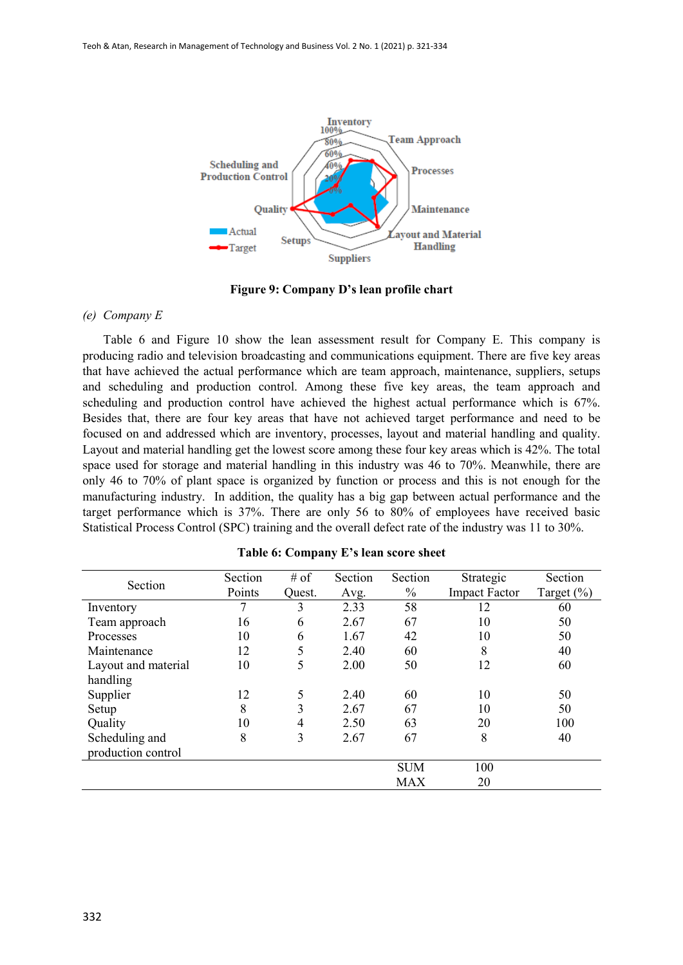

**Figure 9: Company D's lean profile chart**

#### *(e) Company E*

Table 6 and Figure 10 show the lean assessment result for Company E. This company is producing radio and television broadcasting and communications equipment. There are five key areas that have achieved the actual performance which are team approach, maintenance, suppliers, setups and scheduling and production control. Among these five key areas, the team approach and scheduling and production control have achieved the highest actual performance which is 67%. Besides that, there are four key areas that have not achieved target performance and need to be focused on and addressed which are inventory, processes, layout and material handling and quality. Layout and material handling get the lowest score among these four key areas which is 42%. The total space used for storage and material handling in this industry was 46 to 70%. Meanwhile, there are only 46 to 70% of plant space is organized by function or process and this is not enough for the manufacturing industry. In addition, the quality has a big gap between actual performance and the target performance which is 37%. There are only 56 to 80% of employees have received basic Statistical Process Control (SPC) training and the overall defect rate of the industry was 11 to 30%.

| Section             | Section | # of   | Section | Section       | Strategic            | Section       |
|---------------------|---------|--------|---------|---------------|----------------------|---------------|
|                     | Points  | Ouest. | Avg.    | $\frac{0}{0}$ | <b>Impact Factor</b> | Target $(\%)$ |
| Inventory           |         | 3      | 2.33    | 58            | 12                   | 60            |
| Team approach       | 16      | 6      | 2.67    | 67            | 10                   | 50            |
| Processes           | 10      | 6      | 1.67    | 42            | 10                   | 50            |
| Maintenance         | 12      | 5      | 2.40    | 60            | 8                    | 40            |
| Layout and material | 10      | 5      | 2.00    | 50            | 12                   | 60            |
| handling            |         |        |         |               |                      |               |
| Supplier            | 12      | 5      | 2.40    | 60            | 10                   | 50            |
| Setup               | 8       | 3      | 2.67    | 67            | 10                   | 50            |
| Quality             | 10      | 4      | 2.50    | 63            | 20                   | 100           |
| Scheduling and      | 8       | 3      | 2.67    | 67            | 8                    | 40            |
| production control  |         |        |         |               |                      |               |
|                     |         |        |         | <b>SUM</b>    | 100                  |               |
|                     |         |        |         | <b>MAX</b>    | 20                   |               |

**Table 6: Company E's lean score sheet**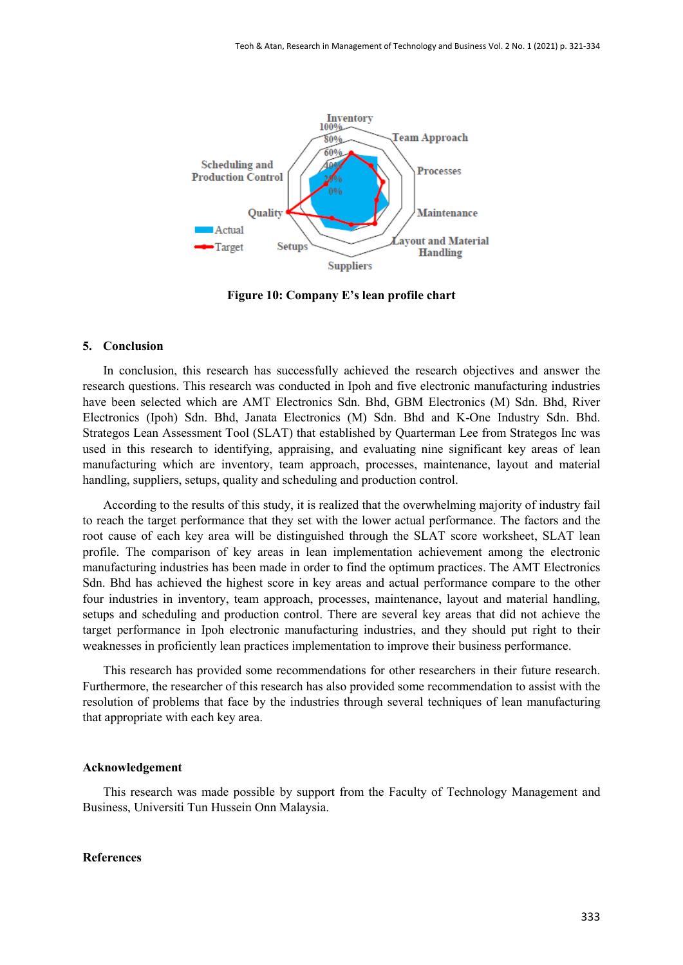

**Figure 10: Company E's lean profile chart**

## **5. Conclusion**

In conclusion, this research has successfully achieved the research objectives and answer the research questions. This research was conducted in Ipoh and five electronic manufacturing industries have been selected which are AMT Electronics Sdn. Bhd, GBM Electronics (M) Sdn. Bhd, River Electronics (Ipoh) Sdn. Bhd, Janata Electronics (M) Sdn. Bhd and K-One Industry Sdn. Bhd. Strategos Lean Assessment Tool (SLAT) that established by Quarterman Lee from Strategos Inc was used in this research to identifying, appraising, and evaluating nine significant key areas of lean manufacturing which are inventory, team approach, processes, maintenance, layout and material handling, suppliers, setups, quality and scheduling and production control.

According to the results of this study, it is realized that the overwhelming majority of industry fail to reach the target performance that they set with the lower actual performance. The factors and the root cause of each key area will be distinguished through the SLAT score worksheet, SLAT lean profile. The comparison of key areas in lean implementation achievement among the electronic manufacturing industries has been made in order to find the optimum practices. The AMT Electronics Sdn. Bhd has achieved the highest score in key areas and actual performance compare to the other four industries in inventory, team approach, processes, maintenance, layout and material handling, setups and scheduling and production control. There are several key areas that did not achieve the target performance in Ipoh electronic manufacturing industries, and they should put right to their weaknesses in proficiently lean practices implementation to improve their business performance.

This research has provided some recommendations for other researchers in their future research. Furthermore, the researcher of this research has also provided some recommendation to assist with the resolution of problems that face by the industries through several techniques of lean manufacturing that appropriate with each key area.

#### **Acknowledgement**

This research was made possible by support from the Faculty of Technology Management and Business, Universiti Tun Hussein Onn Malaysia.

## **References**